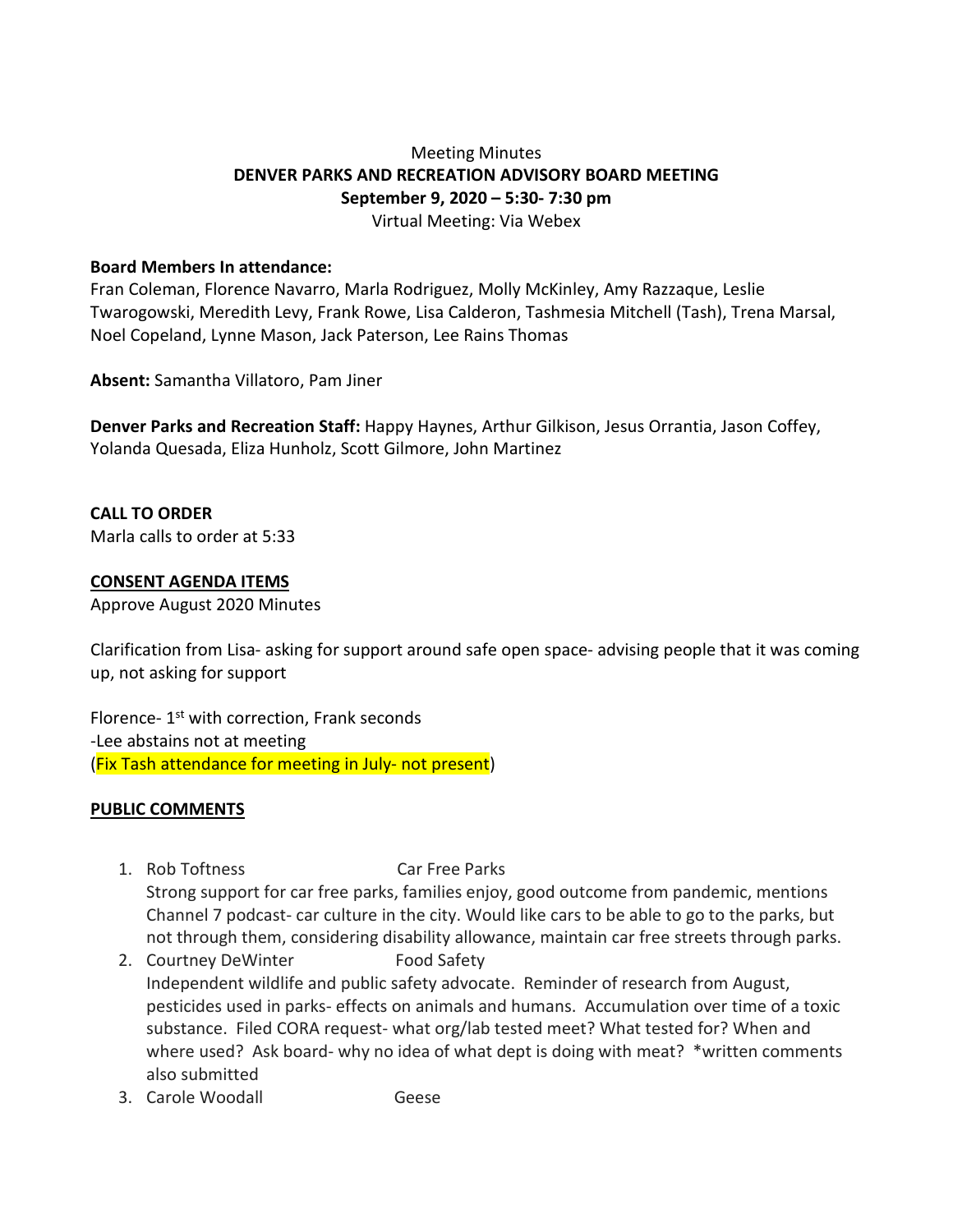# Meeting Minutes **DENVER PARKS AND RECREATION ADVISORY BOARD MEETING September 9, 2020 – 5:30- 7:30 pm** Virtual Meeting: Via Webex

#### **Board Members In attendance:**

Fran Coleman, Florence Navarro, Marla Rodriguez, Molly McKinley, Amy Razzaque, Leslie Twarogowski, Meredith Levy, Frank Rowe, Lisa Calderon, Tashmesia Mitchell (Tash), Trena Marsal, Noel Copeland, Lynne Mason, Jack Paterson, Lee Rains Thomas

**Absent:** Samantha Villatoro, Pam Jiner

**Denver Parks and Recreation Staff:** Happy Haynes, Arthur Gilkison, Jesus Orrantia, Jason Coffey, Yolanda Quesada, Eliza Hunholz, Scott Gilmore, John Martinez

**CALL TO ORDER** Marla calls to order at 5:33

#### **CONSENT AGENDA ITEMS**

Approve August 2020 Minutes

Clarification from Lisa- asking for support around safe open space- advising people that it was coming up, not asking for support

Florence- 1<sup>st</sup> with correction, Frank seconds -Lee abstains not at meeting (Fix Tash attendance for meeting in July- not present)

#### **PUBLIC COMMENTS**

- 1. Rob Toftness Car Free Parks Strong support for car free parks, families enjoy, good outcome from pandemic, mentions Channel 7 podcast- car culture in the city. Would like cars to be able to go to the parks, but not through them, considering disability allowance, maintain car free streets through parks.
- 2. Courtney DeWinter Food Safety Independent wildlife and public safety advocate. Reminder of research from August, pesticides used in parks- effects on animals and humans. Accumulation over time of a toxic substance. Filed CORA request- what org/lab tested meet? What tested for? When and where used? Ask board- why no idea of what dept is doing with meat? \*written comments also submitted
- 3. Carole Woodall Geese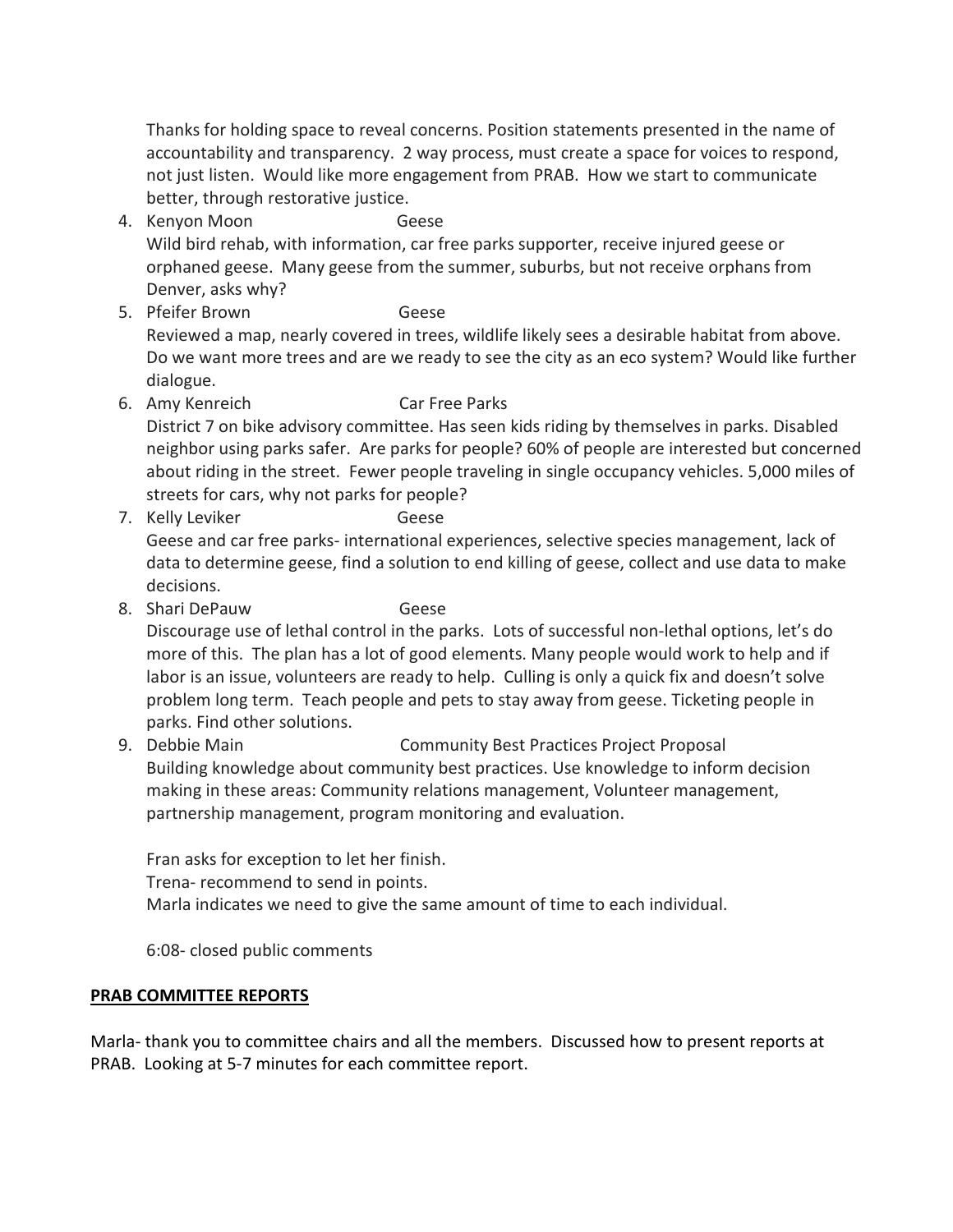Thanks for holding space to reveal concerns. Position statements presented in the name of accountability and transparency. 2 way process, must create a space for voices to respond, not just listen. Would like more engagement from PRAB. How we start to communicate better, through restorative justice.

- 4. Kenyon Moon Geese Wild bird rehab, with information, car free parks supporter, receive injured geese or orphaned geese. Many geese from the summer, suburbs, but not receive orphans from Denver, asks why?
- 5. Pfeifer Brown Geese Reviewed a map, nearly covered in trees, wildlife likely sees a desirable habitat from above. Do we want more trees and are we ready to see the city as an eco system? Would like further dialogue.
- 6. Amy Kenreich Car Free Parks District 7 on bike advisory committee. Has seen kids riding by themselves in parks. Disabled neighbor using parks safer. Are parks for people? 60% of people are interested but concerned about riding in the street. Fewer people traveling in single occupancy vehicles. 5,000 miles of streets for cars, why not parks for people?
- 7. Kelly Leviker Geese Geese and car free parks- international experiences, selective species management, lack of data to determine geese, find a solution to end killing of geese, collect and use data to make decisions.
- 8. Shari DePauw Geese Discourage use of lethal control in the parks. Lots of successful non-lethal options, let's do more of this. The plan has a lot of good elements. Many people would work to help and if labor is an issue, volunteers are ready to help. Culling is only a quick fix and doesn't solve problem long term. Teach people and pets to stay away from geese. Ticketing people in parks. Find other solutions.
- 9. Debbie Main Community Best Practices Project Proposal Building knowledge about community best practices. Use knowledge to inform decision making in these areas: Community relations management, Volunteer management, partnership management, program monitoring and evaluation.

Fran asks for exception to let her finish. Trena- recommend to send in points. Marla indicates we need to give the same amount of time to each individual.

6:08- closed public comments

## **PRAB COMMITTEE REPORTS**

Marla- thank you to committee chairs and all the members. Discussed how to present reports at PRAB. Looking at 5-7 minutes for each committee report.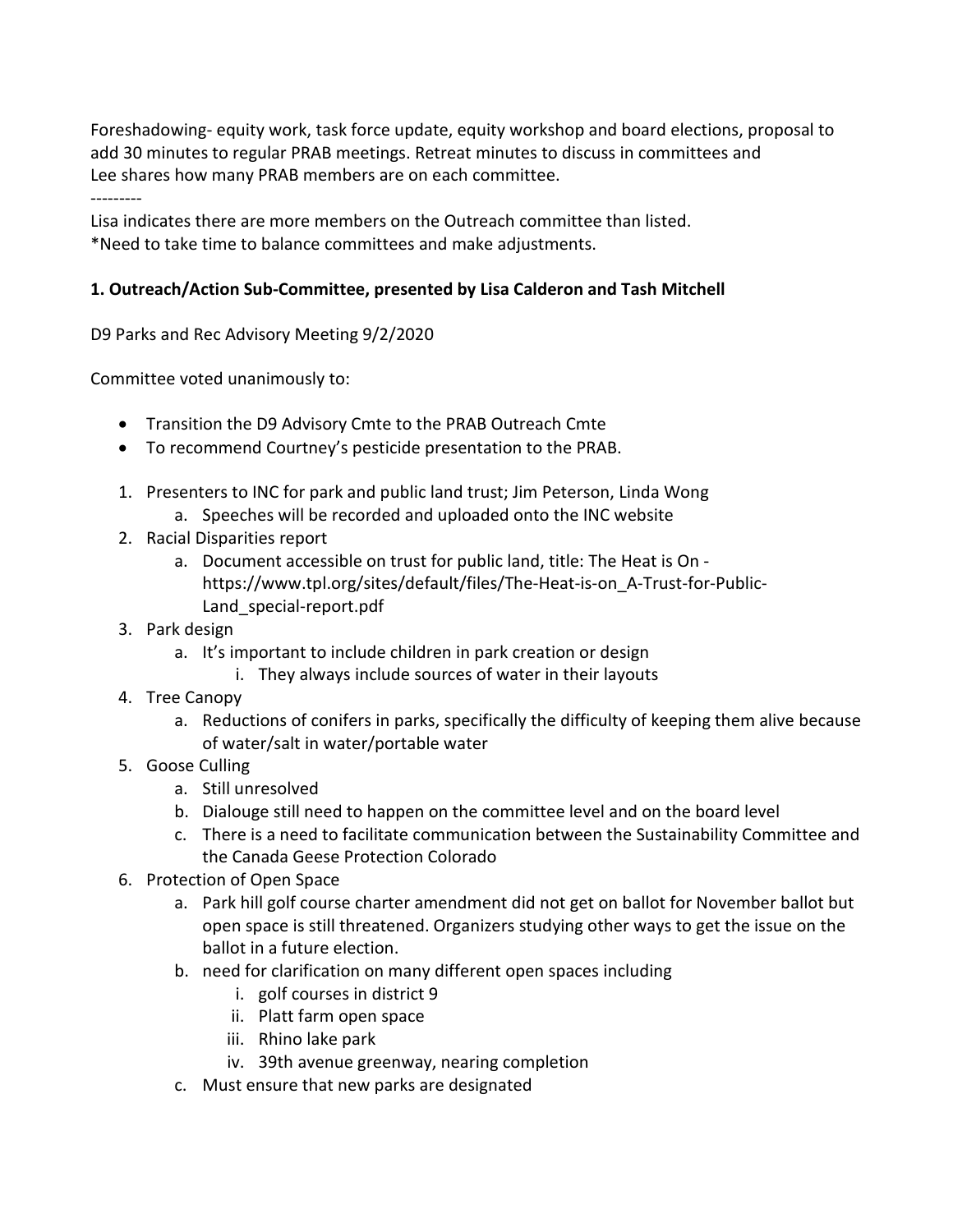Foreshadowing- equity work, task force update, equity workshop and board elections, proposal to add 30 minutes to regular PRAB meetings. Retreat minutes to discuss in committees and Lee shares how many PRAB members are on each committee. ---------

Lisa indicates there are more members on the Outreach committee than listed. \*Need to take time to balance committees and make adjustments.

# **1. Outreach/Action Sub-Committee, presented by Lisa Calderon and Tash Mitchell**

D9 Parks and Rec Advisory Meeting 9/2/2020

Committee voted unanimously to:

- Transition the D9 Advisory Cmte to the PRAB Outreach Cmte
- To recommend Courtney's pesticide presentation to the PRAB.
- 1. Presenters to INC for park and public land trust; Jim Peterson, Linda Wong
	- a. Speeches will be recorded and uploaded onto the INC website
- 2. Racial Disparities report
	- a. Document accessible on trust for public land, title: The Heat is On https://www.tpl.org/sites/default/files/The-Heat-is-on\_A-Trust-for-Public-Land\_special-report.pdf
- 3. Park design
	- a. It's important to include children in park creation or design
		- i. They always include sources of water in their layouts
- 4. Tree Canopy
	- a. Reductions of conifers in parks, specifically the difficulty of keeping them alive because of water/salt in water/portable water
- 5. Goose Culling
	- a. Still unresolved
	- b. Dialouge still need to happen on the committee level and on the board level
	- c. There is a need to facilitate communication between the Sustainability Committee and the Canada Geese Protection Colorado
- 6. Protection of Open Space
	- a. Park hill golf course charter amendment did not get on ballot for November ballot but open space is still threatened. Organizers studying other ways to get the issue on the ballot in a future election.
	- b. need for clarification on many different open spaces including
		- i. golf courses in district 9
		- ii. Platt farm open space
		- iii. Rhino lake park
		- iv. 39th avenue greenway, nearing completion
	- c. Must ensure that new parks are designated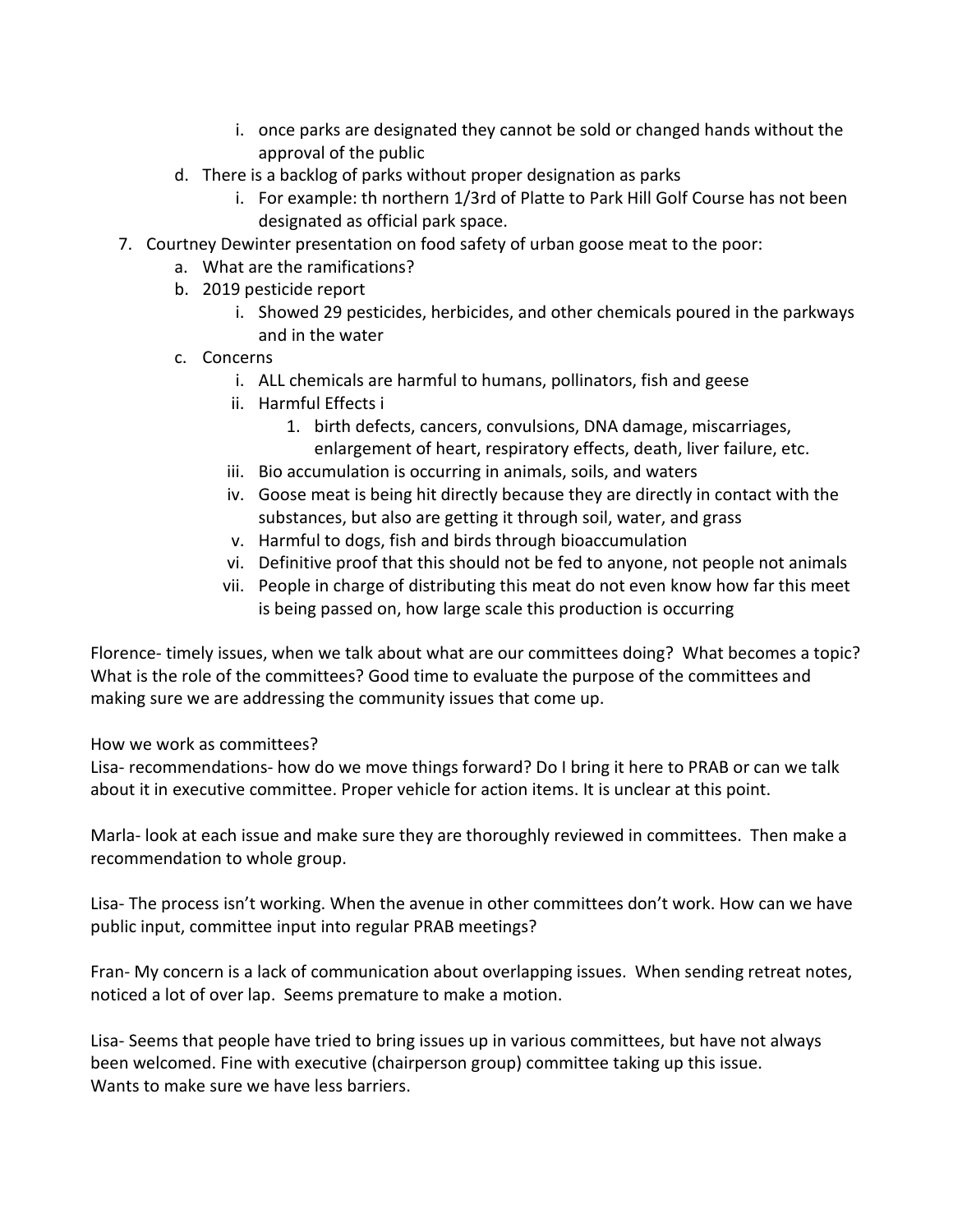- i. once parks are designated they cannot be sold or changed hands without the approval of the public
- d. There is a backlog of parks without proper designation as parks
	- i. For example: th northern 1/3rd of Platte to Park Hill Golf Course has not been designated as official park space.
- 7. Courtney Dewinter presentation on food safety of urban goose meat to the poor:
	- a. What are the ramifications?
	- b. 2019 pesticide report
		- i. Showed 29 pesticides, herbicides, and other chemicals poured in the parkways and in the water
	- c. Concerns
		- i. ALL chemicals are harmful to humans, pollinators, fish and geese
		- ii. Harmful Effects i
			- 1. birth defects, cancers, convulsions, DNA damage, miscarriages, enlargement of heart, respiratory effects, death, liver failure, etc.
		- iii. Bio accumulation is occurring in animals, soils, and waters
		- iv. Goose meat is being hit directly because they are directly in contact with the substances, but also are getting it through soil, water, and grass
		- v. Harmful to dogs, fish and birds through bioaccumulation
		- vi. Definitive proof that this should not be fed to anyone, not people not animals
		- vii. People in charge of distributing this meat do not even know how far this meet is being passed on, how large scale this production is occurring

Florence- timely issues, when we talk about what are our committees doing? What becomes a topic? What is the role of the committees? Good time to evaluate the purpose of the committees and making sure we are addressing the community issues that come up.

How we work as committees?

Lisa- recommendations- how do we move things forward? Do I bring it here to PRAB or can we talk about it in executive committee. Proper vehicle for action items. It is unclear at this point.

Marla- look at each issue and make sure they are thoroughly reviewed in committees. Then make a recommendation to whole group.

Lisa- The process isn't working. When the avenue in other committees don't work. How can we have public input, committee input into regular PRAB meetings?

Fran- My concern is a lack of communication about overlapping issues. When sending retreat notes, noticed a lot of over lap. Seems premature to make a motion.

Lisa- Seems that people have tried to bring issues up in various committees, but have not always been welcomed. Fine with executive (chairperson group) committee taking up this issue. Wants to make sure we have less barriers.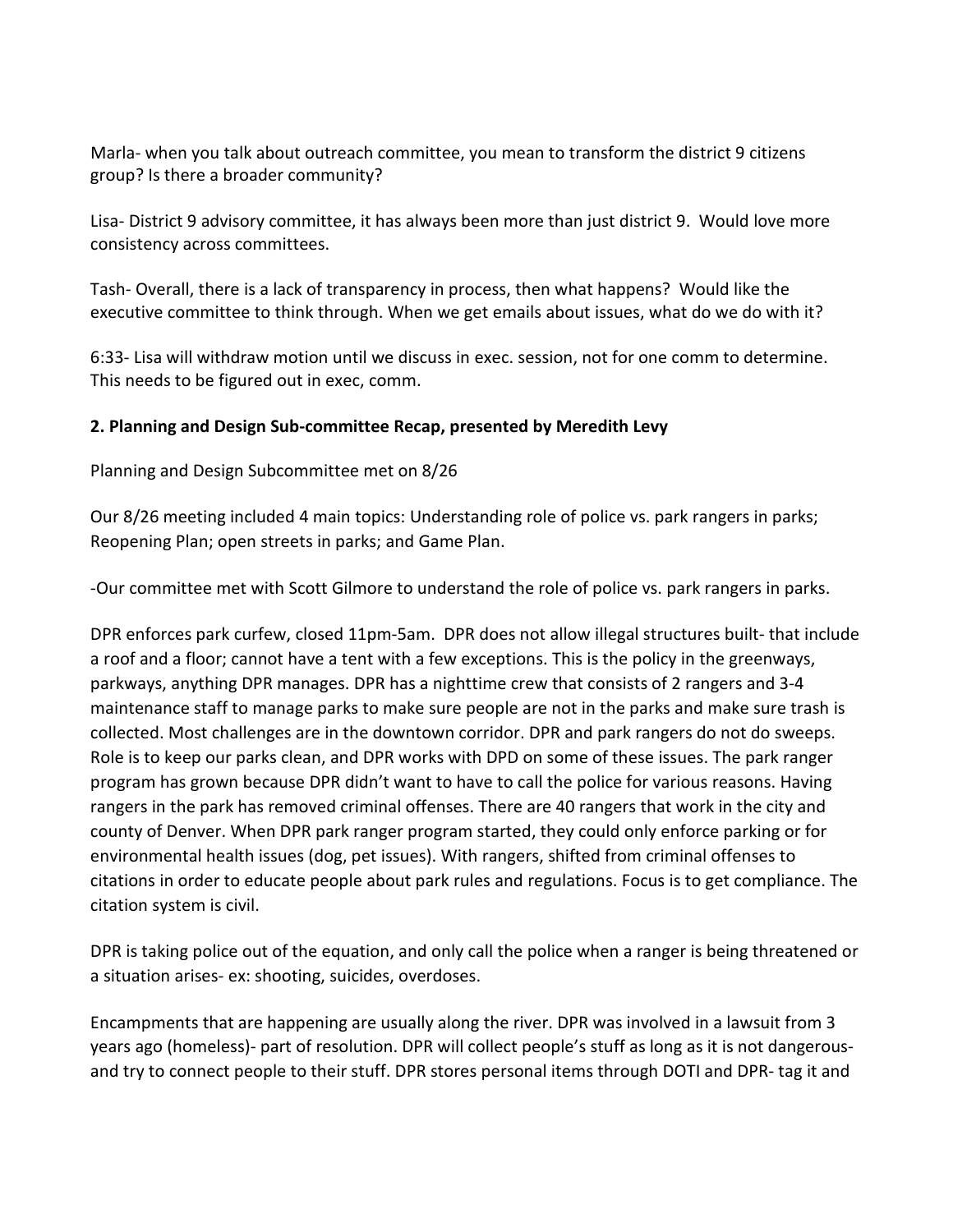Marla- when you talk about outreach committee, you mean to transform the district 9 citizens group? Is there a broader community?

Lisa- District 9 advisory committee, it has always been more than just district 9. Would love more consistency across committees.

Tash- Overall, there is a lack of transparency in process, then what happens? Would like the executive committee to think through. When we get emails about issues, what do we do with it?

6:33- Lisa will withdraw motion until we discuss in exec. session, not for one comm to determine. This needs to be figured out in exec, comm.

### **2. Planning and Design Sub-committee Recap, presented by Meredith Levy**

Planning and Design Subcommittee met on 8/26

Our 8/26 meeting included 4 main topics: Understanding role of police vs. park rangers in parks; Reopening Plan; open streets in parks; and Game Plan.

-Our committee met with Scott Gilmore to understand the role of police vs. park rangers in parks.

DPR enforces park curfew, closed 11pm-5am. DPR does not allow illegal structures built- that include a roof and a floor; cannot have a tent with a few exceptions. This is the policy in the greenways, parkways, anything DPR manages. DPR has a nighttime crew that consists of 2 rangers and 3-4 maintenance staff to manage parks to make sure people are not in the parks and make sure trash is collected. Most challenges are in the downtown corridor. DPR and park rangers do not do sweeps. Role is to keep our parks clean, and DPR works with DPD on some of these issues. The park ranger program has grown because DPR didn't want to have to call the police for various reasons. Having rangers in the park has removed criminal offenses. There are 40 rangers that work in the city and county of Denver. When DPR park ranger program started, they could only enforce parking or for environmental health issues (dog, pet issues). With rangers, shifted from criminal offenses to citations in order to educate people about park rules and regulations. Focus is to get compliance. The citation system is civil.

DPR is taking police out of the equation, and only call the police when a ranger is being threatened or a situation arises- ex: shooting, suicides, overdoses.

Encampments that are happening are usually along the river. DPR was involved in a lawsuit from 3 years ago (homeless)- part of resolution. DPR will collect people's stuff as long as it is not dangerousand try to connect people to their stuff. DPR stores personal items through DOTI and DPR- tag it and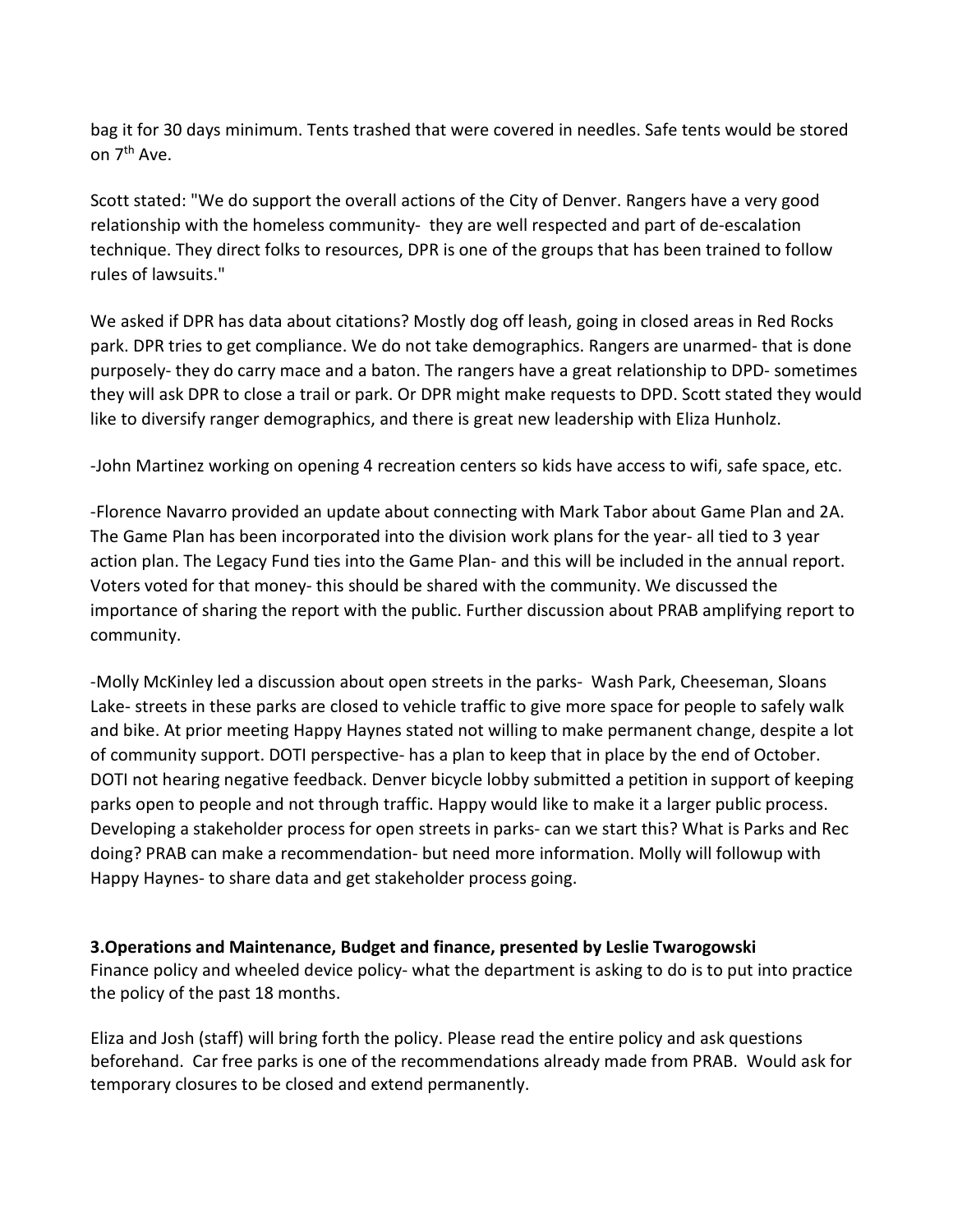bag it for 30 days minimum. Tents trashed that were covered in needles. Safe tents would be stored on 7<sup>th</sup> Ave.

Scott stated: "We do support the overall actions of the City of Denver. Rangers have a very good relationship with the homeless community- they are well respected and part of de-escalation technique. They direct folks to resources, DPR is one of the groups that has been trained to follow rules of lawsuits."

We asked if DPR has data about citations? Mostly dog off leash, going in closed areas in Red Rocks park. DPR tries to get compliance. We do not take demographics. Rangers are unarmed- that is done purposely- they do carry mace and a baton. The rangers have a great relationship to DPD- sometimes they will ask DPR to close a trail or park. Or DPR might make requests to DPD. Scott stated they would like to diversify ranger demographics, and there is great new leadership with Eliza Hunholz.

-John Martinez working on opening 4 recreation centers so kids have access to wifi, safe space, etc.

-Florence Navarro provided an update about connecting with Mark Tabor about Game Plan and 2A. The Game Plan has been incorporated into the division work plans for the year- all tied to 3 year action plan. The Legacy Fund ties into the Game Plan- and this will be included in the annual report. Voters voted for that money- this should be shared with the community. We discussed the importance of sharing the report with the public. Further discussion about PRAB amplifying report to community.

-Molly McKinley led a discussion about open streets in the parks- Wash Park, Cheeseman, Sloans Lake- streets in these parks are closed to vehicle traffic to give more space for people to safely walk and bike. At prior meeting Happy Haynes stated not willing to make permanent change, despite a lot of community support. DOTI perspective- has a plan to keep that in place by the end of October. DOTI not hearing negative feedback. Denver bicycle lobby submitted a petition in support of keeping parks open to people and not through traffic. Happy would like to make it a larger public process. Developing a stakeholder process for open streets in parks- can we start this? What is Parks and Rec doing? PRAB can make a recommendation- but need more information. Molly will followup with Happy Haynes- to share data and get stakeholder process going.

#### **3.Operations and Maintenance, Budget and finance, presented by Leslie Twarogowski**

Finance policy and wheeled device policy- what the department is asking to do is to put into practice the policy of the past 18 months.

Eliza and Josh (staff) will bring forth the policy. Please read the entire policy and ask questions beforehand. Car free parks is one of the recommendations already made from PRAB. Would ask for temporary closures to be closed and extend permanently.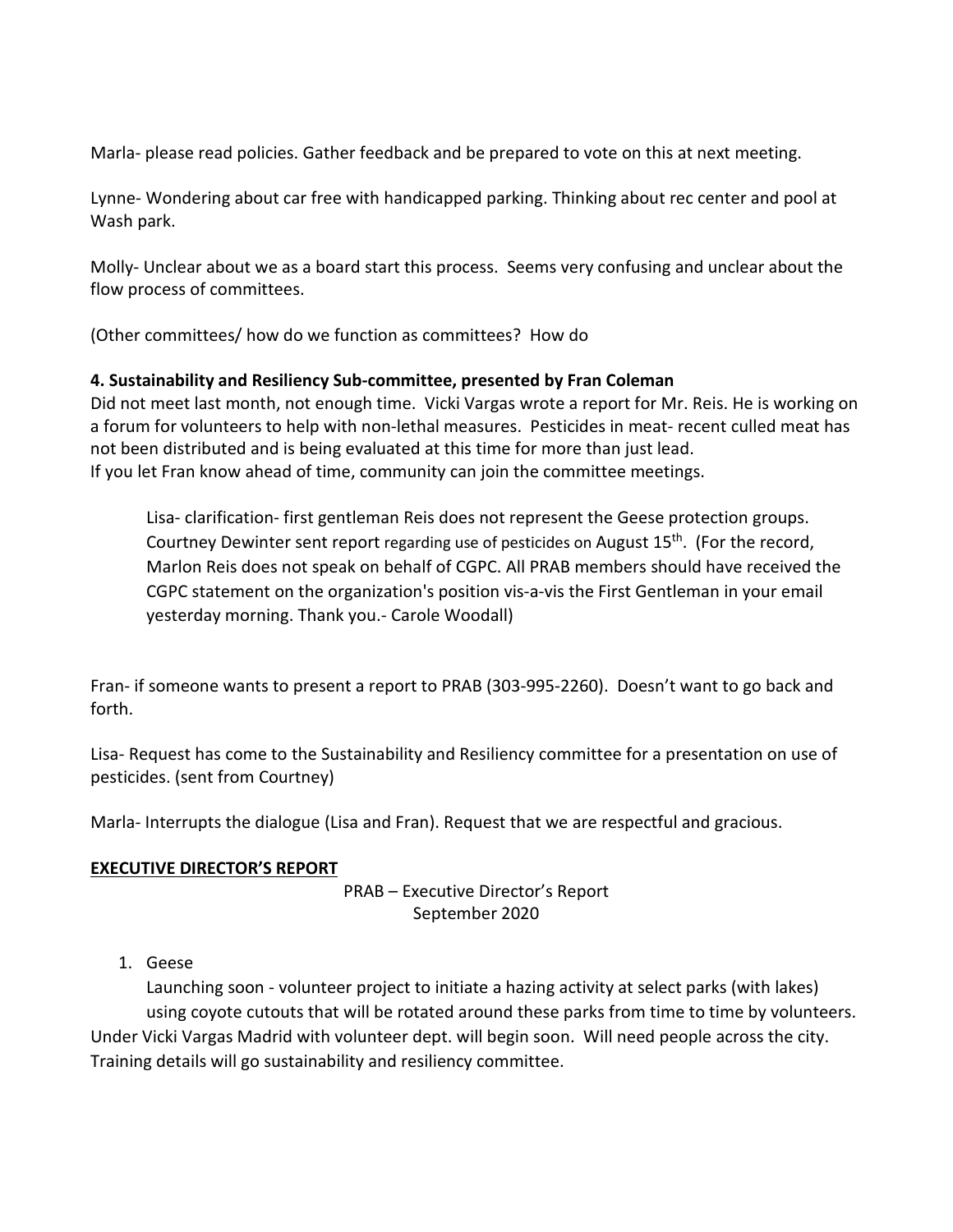Marla- please read policies. Gather feedback and be prepared to vote on this at next meeting.

Lynne- Wondering about car free with handicapped parking. Thinking about rec center and pool at Wash park.

Molly- Unclear about we as a board start this process. Seems very confusing and unclear about the flow process of committees.

(Other committees/ how do we function as committees? How do

# **4. Sustainability and Resiliency Sub-committee, presented by Fran Coleman**

Did not meet last month, not enough time. Vicki Vargas wrote a report for Mr. Reis. He is working on a forum for volunteers to help with non-lethal measures. Pesticides in meat- recent culled meat has not been distributed and is being evaluated at this time for more than just lead. If you let Fran know ahead of time, community can join the committee meetings.

Lisa- clarification- first gentleman Reis does not represent the Geese protection groups. Courtney Dewinter sent report regarding use of pesticides on August 15<sup>th</sup>. (For the record, Marlon Reis does not speak on behalf of CGPC. All PRAB members should have received the CGPC statement on the organization's position vis-a-vis the First Gentleman in your email yesterday morning. Thank you.- Carole Woodall)

Fran- if someone wants to present a report to PRAB (303-995-2260). Doesn't want to go back and forth.

Lisa- Request has come to the Sustainability and Resiliency committee for a presentation on use of pesticides. (sent from Courtney)

Marla- Interrupts the dialogue (Lisa and Fran). Request that we are respectful and gracious.

## **EXECUTIVE DIRECTOR'S REPORT**

PRAB – Executive Director's Report September 2020

1. Geese

Launching soon - volunteer project to initiate a hazing activity at select parks (with lakes) using coyote cutouts that will be rotated around these parks from time to time by volunteers. Under Vicki Vargas Madrid with volunteer dept. will begin soon. Will need people across the city. Training details will go sustainability and resiliency committee.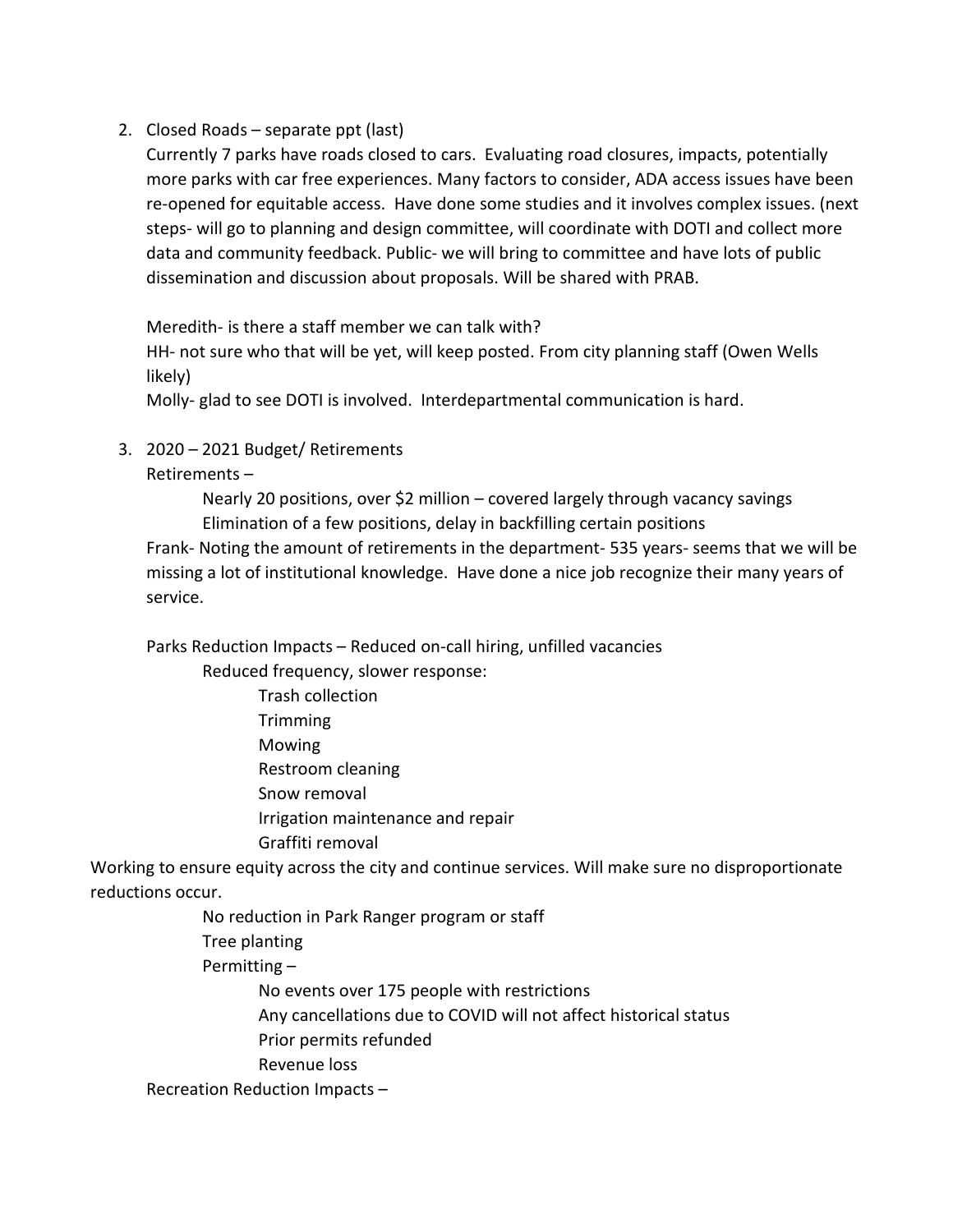2. Closed Roads – separate ppt (last)

Currently 7 parks have roads closed to cars. Evaluating road closures, impacts, potentially more parks with car free experiences. Many factors to consider, ADA access issues have been re-opened for equitable access. Have done some studies and it involves complex issues. (next steps- will go to planning and design committee, will coordinate with DOTI and collect more data and community feedback. Public- we will bring to committee and have lots of public dissemination and discussion about proposals. Will be shared with PRAB.

Meredith- is there a staff member we can talk with?

HH- not sure who that will be yet, will keep posted. From city planning staff (Owen Wells likely)

Molly- glad to see DOTI is involved. Interdepartmental communication is hard.

3. 2020 – 2021 Budget/ Retirements

### Retirements –

Nearly 20 positions, over \$2 million – covered largely through vacancy savings Elimination of a few positions, delay in backfilling certain positions

Frank- Noting the amount of retirements in the department- 535 years- seems that we will be missing a lot of institutional knowledge. Have done a nice job recognize their many years of service.

Parks Reduction Impacts – Reduced on-call hiring, unfilled vacancies

Reduced frequency, slower response:

- Trash collection **Trimming** Mowing Restroom cleaning Snow removal Irrigation maintenance and repair
- Graffiti removal

Working to ensure equity across the city and continue services. Will make sure no disproportionate reductions occur.

No reduction in Park Ranger program or staff

Tree planting

Permitting –

No events over 175 people with restrictions Any cancellations due to COVID will not affect historical status

Prior permits refunded

Revenue loss

Recreation Reduction Impacts –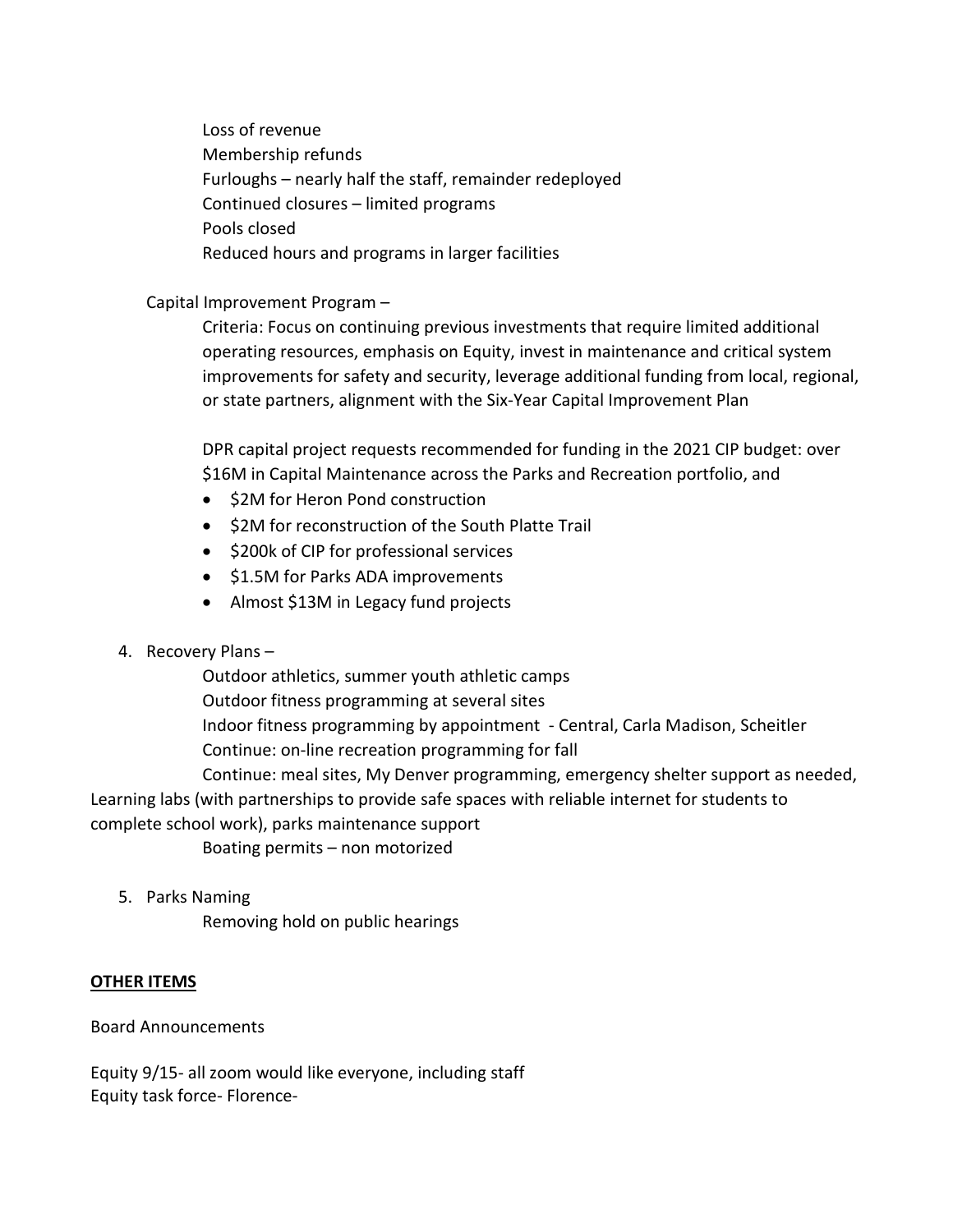Loss of revenue Membership refunds Furloughs – nearly half the staff, remainder redeployed Continued closures – limited programs Pools closed Reduced hours and programs in larger facilities

### Capital Improvement Program –

Criteria: Focus on continuing previous investments that require limited additional operating resources, emphasis on Equity, invest in maintenance and critical system improvements for safety and security, leverage additional funding from local, regional, or state partners, alignment with the Six-Year Capital Improvement Plan

DPR capital project requests recommended for funding in the 2021 CIP budget: over \$16M in Capital Maintenance across the Parks and Recreation portfolio, and

- \$2M for Heron Pond construction
- \$2M for reconstruction of the South Platte Trail
- \$200k of CIP for professional services
- \$1.5M for Parks ADA improvements
- Almost \$13M in Legacy fund projects
- 4. Recovery Plans –

Outdoor athletics, summer youth athletic camps Outdoor fitness programming at several sites Indoor fitness programming by appointment - Central, Carla Madison, Scheitler Continue: on-line recreation programming for fall

Continue: meal sites, My Denver programming, emergency shelter support as needed, Learning labs (with partnerships to provide safe spaces with reliable internet for students to complete school work), parks maintenance support

Boating permits – non motorized

5. Parks Naming

Removing hold on public hearings

## **OTHER ITEMS**

Board Announcements

Equity 9/15- all zoom would like everyone, including staff Equity task force- Florence